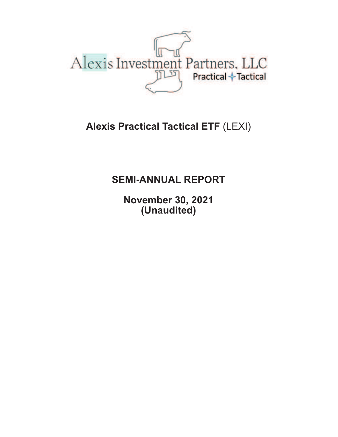

# **Alexis Practical Tactical ETF** (LEXI)

# **SEMI-ANNUAL REPORT**

**November 30, 2021 (Unaudited)**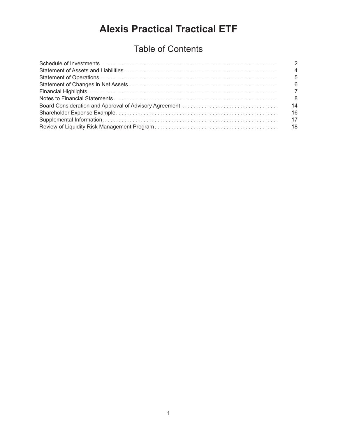# **Alexis Practical Tractical ETF**

# Table of Contents

| $\overline{4}$ |
|----------------|
| 5              |
|                |
|                |
| - 8            |
| 14             |
|                |
|                |
|                |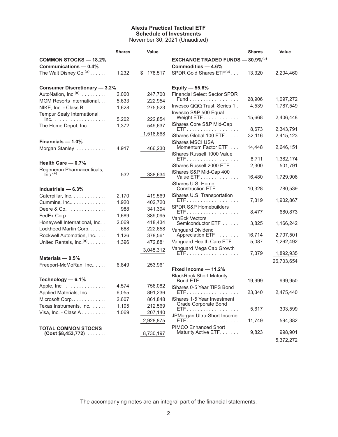#### **Alexis Practical Tactical ETF Schedule of Investments** November 30, 2021 (Unaudited)

|                                                                                 | <b>Shares</b> | Value                |                                                     | <b>Shares</b> | Value      |
|---------------------------------------------------------------------------------|---------------|----------------------|-----------------------------------------------------|---------------|------------|
| <b>COMMON STOCKS - 18.2%</b>                                                    |               |                      | <b>EXCHANGE TRADED FUNDS - 80.9% (c)</b>            |               |            |
| Communications - 0.4%                                                           |               |                      | Commodities - 4.6%                                  |               |            |
| The Walt Disney Co. <sup>(a)</sup>                                              | 1,232         | 178,517<br>\$        | SPDR Gold Shares ETF(a)                             | 13,320        | 2,204,460  |
| <b>Consumer Discretionary - 3.2%</b>                                            |               |                      | Equity $-55.6%$                                     |               |            |
| AutoNation, Inc. <sup>(a)</sup>                                                 | 2,000         | 247,700              | <b>Financial Select Sector SPDR</b>                 |               |            |
| MGM Resorts International                                                       | 5,633         | 222,954              | Fund                                                | 28,906        | 1,097,272  |
| NIKE, Inc. - Class B                                                            | 1,628         | 275,523              | Invesco QQQ Trust, Series 1.                        | 4,539         | 1,787,549  |
| Tempur Sealy International,<br>$Inc. \ldots \ldots \ldots \ldots \ldots \ldots$ | 5.202         | 222,854              | Invesco S&P 500 Equal<br>Weight ETF                 | 15,668        | 2,406,448  |
| The Home Depot, Inc.                                                            | 1,372         | 549,637              | iShares Core S&P Mid-Cap                            |               |            |
|                                                                                 |               | 1,518,668            |                                                     | 8,673         | 2,343,791  |
|                                                                                 |               |                      | iShares Global 100 ETF                              | 32,116        | 2,415,123  |
| Financials - 1.0%                                                               |               |                      | iShares MSCI USA<br>Momentum Factor ETF             | 14,448        | 2,646,151  |
| Morgan Stanley                                                                  | 4,917         | 466,230              | iShares Russell 1000 Value                          |               |            |
|                                                                                 |               |                      |                                                     | 8,711         | 1,382,174  |
| Health Care - 0.7%                                                              |               |                      | iShares Russell 2000 ETF                            | 2,300         | 501,791    |
| Regeneron Pharmaceuticals,<br>$\overline{\mathsf{Inc}}^{(a)}$                   | 532           | 338,634              | iShares S&P Mid-Cap 400<br>Value ETF                | 16,480        | 1,729,906  |
| Industrials $-6.3%$                                                             |               |                      | iShares U.S. Home<br>Construction ETF               | 10,328        | 780,539    |
| Caterpillar, Inc.                                                               | 2.170         | 419,569              | iShares U.S. Transportation                         |               |            |
| Cummins, Inc                                                                    | 1,920         | 402,720              |                                                     | 7,319         | 1,902,867  |
| Deere & Co.                                                                     | 988           | 341,394              | SPDR S&P Homebuilders                               |               |            |
| FedEx Corp.                                                                     | 1,689         | 389,095              |                                                     | 8,477         | 680,873    |
| Honeywell International, Inc. .                                                 | 2,069         | 418,434              | VanEck Vectors<br>Semiconductor ETF                 | 3,825         | 1,166,242  |
| Lockheed Martin Corp                                                            | 668           | 222,658              | Vanguard Dividend                                   |               |            |
| Rockwell Automation, Inc.                                                       | 1,126         | 378,561              | Appreciation ETF                                    | 16,714        | 2,707,501  |
| United Rentals, Inc. <sup>(a)</sup> .                                           | 1,396         | 472,881              | Vanguard Health Care ETF                            | 5,087         | 1,262,492  |
|                                                                                 |               | 3,045,312            | Vanguard Mega Cap Growth                            |               |            |
| Materials $-0.5%$                                                               |               |                      |                                                     | 7,379         | 1,892,935  |
| Freeport-McMoRan, Inc                                                           | 6,849         | 253,961              |                                                     |               | 26,703,654 |
|                                                                                 |               |                      | Fixed Income - 11.2%                                |               |            |
|                                                                                 |               |                      | <b>BlackRock Short Maturity</b>                     |               |            |
| Technology - 6.1%                                                               |               |                      | Bond ETF                                            | 19,999        | 999,950    |
| Apple, Inc.                                                                     | 4,574         | 756,082              | iShares 0-5 Year TIPS Bond                          |               | 2,475,440  |
| Applied Materials, Inc.                                                         | 6,055         | 891,236              |                                                     | 23,340        |            |
| Microsoft Corp.                                                                 | 2,607         | 861,848              | iShares 1-5 Year Investment<br>Grade Corporate Bond |               |            |
| Texas Instruments, Inc.                                                         | 1,105         | 212,569              | ETF                                                 | 5,617         | 303,599    |
| Visa, Inc. - Class $A$                                                          | 1,069         | 207,140<br>2,928,875 | JPMorgan Ultra-Short Income<br>ETF.                 | 11,749        | 594,382    |
|                                                                                 |               |                      | <b>PIMCO Enhanced Short</b>                         |               |            |
| <b>TOTAL COMMON STOCKS</b><br>$(Cost $8,453,772) \ldots$                        |               | 8,730,197            | Maturity Active ETF.                                | 9,823         | 998,901    |
|                                                                                 |               |                      |                                                     |               | 5,372,272  |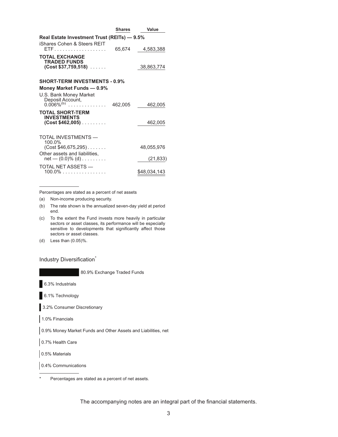|                                                                      | <b>Shares</b> | Value        |
|----------------------------------------------------------------------|---------------|--------------|
| Real Estate Investment Trust (REITs) - 9.5%                          |               |              |
| iShares Cohen & Steers REIT                                          | 65,674        | 4,583,388    |
| <b>TOTAL EXCHANGE</b><br><b>TRADED FUNDS</b><br>$(Cost $37,759,518)$ |               | 38,863,774   |
| <b>SHORT-TERM INVESTMENTS - 0.9%</b>                                 |               |              |
| Money Market Funds - 0.9%                                            |               |              |
| U.S. Bank Money Market<br>Deposit Account,                           |               |              |
| $0.006\%^{(b)}$                                                      | 462,005       | 462,005      |
| <b>TOTAL SHORT-TERM</b><br><b>INVESTMENTS</b>                        |               |              |
| $(Cost $462,005)$                                                    |               | 462,005      |
| TOTAL INVESTMENTS —<br>100.0%                                        |               |              |
| $(Cost $46,675,295)$                                                 |               | 48,055,976   |
| Other assets and liabilities,<br>$net - (0.0)% (d)$                  |               | (21, 833)    |
| TOTAL NET ASSETS -<br>100.0%                                         |               | \$48,034,143 |

Percentages are stated as a percent of net assets

- (a) Non-income producing security.
- (b) The rate shown is the annualized seven-day yield at period end.
- (c) To the extent the Fund invests more heavily in particular sectors or asset classes, its performance will be especially sensitive to developments that significantly affect those sectors or asset classes.
- (d) Less than (0.05)%.

Industry Diversification<sup>\*</sup>

80.9% Exchange Traded Funds

6.3% Industrials

6.1% Technology

3.2% Consumer Discretionary

1.0% Financials

0.9% Money Market Funds and Other Assets and Liabilities, net

0.7% Health Care

0.5% Materials

0.4% Communications

Percentages are stated as a percent of net assets.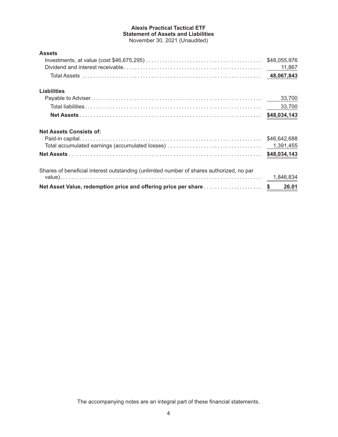## **Alexis Practical Tactical ETF Statement of Assets and Liabilities** November 30, 2021 (Unaudited)

| <b>Assets</b>                                                                            |              |
|------------------------------------------------------------------------------------------|--------------|
|                                                                                          | \$48,055,976 |
|                                                                                          | 11,867       |
|                                                                                          |              |
| <b>Liabilities</b>                                                                       |              |
|                                                                                          | 33,700       |
|                                                                                          | 33,700       |
|                                                                                          | \$48,034,143 |
| <b>Net Assets Consists of:</b>                                                           |              |
|                                                                                          | \$46,642,688 |
|                                                                                          | 1,391,455    |
|                                                                                          | \$48,034,143 |
| Shares of beneficial interest outstanding (unlimited number of shares authorized, no par |              |
|                                                                                          | 1,846,834    |
| Net Asset Value, redemption price and offering price per share                           | 26.01<br>\$  |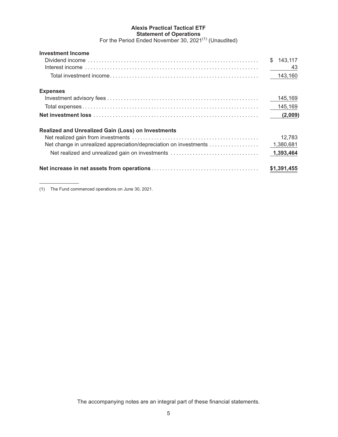## **Alexis Practical Tactical ETF Statement of Operations**

For the Period Ended November 30, 2021<sup>(1)</sup> (Unaudited)

| <b>Investment Income</b>                                          |                |
|-------------------------------------------------------------------|----------------|
|                                                                   | 143.117<br>\$. |
|                                                                   | 43             |
|                                                                   | 143,160        |
| <b>Expenses</b>                                                   |                |
|                                                                   | 145,169        |
|                                                                   | 145,169        |
|                                                                   | (2,009)        |
| <b>Realized and Unrealized Gain (Loss) on Investments</b>         |                |
|                                                                   | 12,783         |
| Net change in unrealized appreciation/depreciation on investments | 1,380,681      |
| Net realized and unrealized gain on investments                   | 1,393,464      |
|                                                                   | \$1,391,455    |

(1) The Fund commenced operations on June 30, 2021.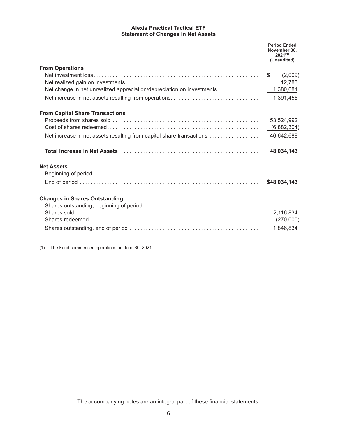## **Alexis Practical Tactical ETF Statement of Changes in Net Assets**

|                                                                       | <b>Period Ended</b><br>November 30,<br>$2021^{(1)}$<br>(Unaudited) |
|-----------------------------------------------------------------------|--------------------------------------------------------------------|
| <b>From Operations</b>                                                |                                                                    |
|                                                                       | \$<br>(2,009)                                                      |
|                                                                       | 12,783                                                             |
| Net change in net unrealized appreciation/depreciation on investments | 1,380,681                                                          |
|                                                                       |                                                                    |
| <b>From Capital Share Transactions</b>                                |                                                                    |
|                                                                       | 53,524,992                                                         |
|                                                                       | (6,882,304)                                                        |
| Net increase in net assets resulting from capital share transactions  | 46,642,688                                                         |
|                                                                       | 48,034,143                                                         |
| <b>Net Assets</b>                                                     |                                                                    |
|                                                                       |                                                                    |
|                                                                       | \$48,034,143                                                       |
| <b>Changes in Shares Outstanding</b>                                  |                                                                    |
|                                                                       |                                                                    |
|                                                                       | 2,116,834                                                          |
|                                                                       | (270,000)                                                          |
|                                                                       | 1,846,834                                                          |

(1) The Fund commenced operations on June 30, 2021.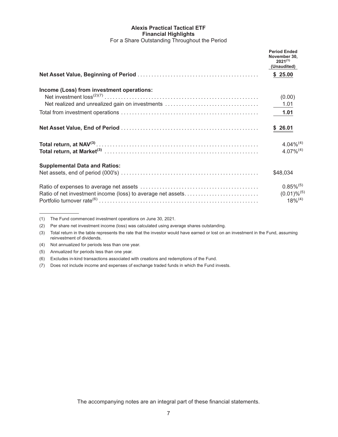#### **Alexis Practical Tactical ETF Financial Highlights** For a Share Outstanding Throughout the Period

|                                                             | <b>Period Ended</b><br>November 30.<br>$2021^{(1)}$<br>(Unaudited) |
|-------------------------------------------------------------|--------------------------------------------------------------------|
|                                                             | \$25.00                                                            |
| Income (Loss) from investment operations:                   | (0.00)                                                             |
|                                                             | $-1.01$                                                            |
|                                                             | 1.01                                                               |
|                                                             | \$26.01                                                            |
|                                                             | $4.04\%^{(4)}$<br>$4.07\%^{(4)}$                                   |
| <b>Supplemental Data and Ratios:</b>                        | \$48,034                                                           |
| Ratio of net investment income (loss) to average net assets | $0.85\%^{(5)}$<br>$(0.01) \%^{(5)}$<br>$18\%^{(4)}$                |

<sup>(1)</sup> The Fund commenced investment operations on June 30, 2021.

(2) Per share net investment income (loss) was calculated using average shares outstanding.

(3) Total return in the table represents the rate that the investor would have earned or lost on an investment in the Fund, assuming reinvestment of dividends.

<sup>(4)</sup> Not annualized for periods less than one year.

<sup>(5)</sup> Annualized for periods less than one year.

<sup>(6)</sup> Excludes in-kind transactions associated with creations and redemptions of the Fund.

<sup>(7)</sup> Does not include income and expenses of exchange traded funds in which the Fund invests.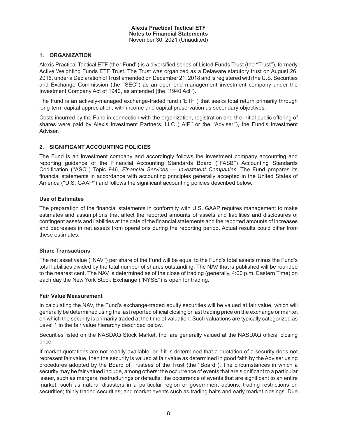#### **1. ORGANIZATION**

Alexis Practical Tactical ETF (the ''Fund'') is a diversified series of Listed Funds Trust (the ''Trust''), formerly Active Weighting Funds ETF Trust. The Trust was organized as a Delaware statutory trust on August 26, 2016, under a Declaration of Trust amended on December 21, 2018 and is registered with the U.S. Securities and Exchange Commission (the ''SEC'') as an open-end management investment company under the Investment Company Act of 1940, as amended (the ''1940 Act'').

The Fund is an actively-managed exchange-traded fund (''ETF'') that seeks total return primarily through long-term capital appreciation, with income and capital preservation as secondary objectives.

Costs incurred by the Fund in connection with the organization, registration and the initial public offering of shares were paid by Alexis Investment Partners, LLC ("AIP" or the "Adviser"), the Fund's Investment Adviser.

## **2. SIGNIFICANT ACCOUNTING POLICIES**

The Fund is an investment company and accordingly follows the investment company accounting and reporting guidance of the Financial Accounting Standards Board (''FASB'') Accounting Standards Codification (''ASC'') Topic 946, *Financial Services — Investment Companies*. The Fund prepares its financial statements in accordance with accounting principles generally accepted in the United States of America (''U.S. GAAP'') and follows the significant accounting policies described below.

#### **Use of Estimates**

The preparation of the financial statements in conformity with U.S. GAAP requires management to make estimates and assumptions that affect the reported amounts of assets and liabilities and disclosures of contingent assets and liabilities at the date of the financial statements and the reported amounts of increases and decreases in net assets from operations during the reporting period. Actual results could differ from these estimates.

#### **Share Transactions**

The net asset value (''NAV'') per share of the Fund will be equal to the Fund's total assets minus the Fund's total liabilities divided by the total number of shares outstanding. The NAV that is published will be rounded to the nearest cent. The NAV is determined as of the close of trading (generally, 4:00 p.m. Eastern Time) on each day the New York Stock Exchange (''NYSE'') is open for trading.

#### **Fair Value Measurement**

In calculating the NAV, the Fund's exchange-traded equity securities will be valued at fair value, which will generally be determined using the last reported official closing or last trading price on the exchange or market on which the security is primarily traded at the time of valuation. Such valuations are typically categorized as Level 1 in the fair value hierarchy described below.

Securities listed on the NASDAQ Stock Market, Inc. are generally valued at the NASDAQ official closing price.

If market quotations are not readily available, or if it is determined that a quotation of a security does not represent fair value, then the security is valued at fair value as determined in good faith by the Adviser using procedures adopted by the Board of Trustees of the Trust (the ''Board''). The circumstances in which a security may be fair valued include, among others: the occurrence of events that are significant to a particular issuer, such as mergers, restructurings or defaults; the occurrence of events that are significant to an entire market, such as natural disasters in a particular region or government actions; trading restrictions on securities; thinly traded securities; and market events such as trading halts and early market closings. Due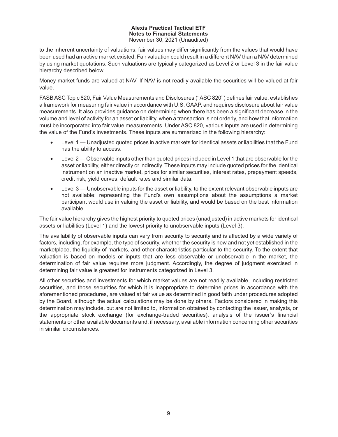to the inherent uncertainty of valuations, fair values may differ significantly from the values that would have been used had an active market existed. Fair valuation could result in a different NAV than a NAV determined by using market quotations. Such valuations are typically categorized as Level 2 or Level 3 in the fair value hierarchy described below.

Money market funds are valued at NAV. If NAV is not readily available the securities will be valued at fair value.

FASB ASC Topic 820, Fair Value Measurements and Disclosures (''ASC 820'') defines fair value, establishes a framework for measuring fair value in accordance with U.S. GAAP, and requires disclosure about fair value measurements. It also provides guidance on determining when there has been a significant decrease in the volume and level of activity for an asset or liability, when a transaction is not orderly, and how that information must be incorporated into fair value measurements. Under ASC 820, various inputs are used in determining the value of the Fund's investments. These inputs are summarized in the following hierarchy:

- Level 1 Unadjusted quoted prices in active markets for identical assets or liabilities that the Fund has the ability to access.
- Level 2 Observable inputs other than quoted prices included in Level 1 that are observable for the asset or liability, either directly or indirectly. These inputs may include quoted prices for the identical instrument on an inactive market, prices for similar securities, interest rates, prepayment speeds, credit risk, yield curves, default rates and similar data.
- Level 3 Unobservable inputs for the asset or liability, to the extent relevant observable inputs are not available; representing the Fund's own assumptions about the assumptions a market participant would use in valuing the asset or liability, and would be based on the best information available.

The fair value hierarchy gives the highest priority to quoted prices (unadjusted) in active markets for identical assets or liabilities (Level 1) and the lowest priority to unobservable inputs (Level 3).

The availability of observable inputs can vary from security to security and is affected by a wide variety of factors, including, for example, the type of security, whether the security is new and not yet established in the marketplace, the liquidity of markets, and other characteristics particular to the security. To the extent that valuation is based on models or inputs that are less observable or unobservable in the market, the determination of fair value requires more judgment. Accordingly, the degree of judgment exercised in determining fair value is greatest for instruments categorized in Level 3.

All other securities and investments for which market values are not readily available, including restricted securities, and those securities for which it is inappropriate to determine prices in accordance with the aforementioned procedures, are valued at fair value as determined in good faith under procedures adopted by the Board, although the actual calculations may be done by others. Factors considered in making this determination may include, but are not limited to, information obtained by contacting the issuer, analysts, or the appropriate stock exchange (for exchange-traded securities), analysis of the issuer's financial statements or other available documents and, if necessary, available information concerning other securities in similar circumstances.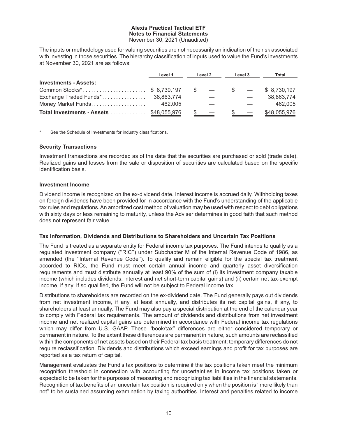The inputs or methodology used for valuing securities are not necessarily an indication of the risk associated with investing in those securities. The hierarchy classification of inputs used to value the Fund's investments at November 30, 2021 are as follows:

|                                                 | Level 1 | Level 2 |        | Level 3 |                          |              |  | Total |
|-------------------------------------------------|---------|---------|--------|---------|--------------------------|--------------|--|-------|
| <b>Investments - Assets:</b>                    |         |         |        |         |                          |              |  |       |
| Common Stocks <sup>*</sup> \$ 8,730,197         |         |         | $\sim$ |         | $\overline{\phantom{0}}$ | \$8,730,197  |  |       |
|                                                 |         |         |        |         |                          | 38,863,774   |  |       |
|                                                 |         |         |        |         |                          | 462,005      |  |       |
| <b>Total Investments - Assets  \$48,055,976</b> |         |         |        |         |                          | \$48,055,976 |  |       |

See the Schedule of Investments for industry classifications.

#### **Security Transactions**

Investment transactions are recorded as of the date that the securities are purchased or sold (trade date). Realized gains and losses from the sale or disposition of securities are calculated based on the specific identification basis.

#### **Investment Income**

Dividend income is recognized on the ex-dividend date. Interest income is accrued daily. Withholding taxes on foreign dividends have been provided for in accordance with the Fund's understanding of the applicable tax rules and regulations. An amortized cost method of valuation may be used with respect to debt obligations with sixty days or less remaining to maturity, unless the Adviser determines in good faith that such method does not represent fair value.

#### **Tax Information, Dividends and Distributions to Shareholders and Uncertain Tax Positions**

The Fund is treated as a separate entity for Federal income tax purposes. The Fund intends to qualify as a regulated investment company (''RIC'') under Subchapter M of the Internal Revenue Code of 1986, as amended (the ''Internal Revenue Code''). To qualify and remain eligible for the special tax treatment accorded to RICs, the Fund must meet certain annual income and quarterly asset diversification requirements and must distribute annually at least 90% of the sum of (i) its investment company taxable income (which includes dividends, interest and net short-term capital gains) and (ii) certain net tax-exempt income, if any. If so qualified, the Fund will not be subject to Federal income tax.

Distributions to shareholders are recorded on the ex-dividend date. The Fund generally pays out dividends from net investment income, if any, at least annually, and distributes its net capital gains, if any, to shareholders at least annually. The Fund may also pay a special distribution at the end of the calendar year to comply with Federal tax requirements. The amount of dividends and distributions from net investment income and net realized capital gains are determined in accordance with Federal income tax regulations which may differ from U.S. GAAP. These ''book/tax'' differences are either considered temporary or permanent in nature. To the extent these differences are permanent in nature, such amounts are reclassified within the components of net assets based on their Federal tax basis treatment; temporary differences do not require reclassification. Dividends and distributions which exceed earnings and profit for tax purposes are reported as a tax return of capital.

Management evaluates the Fund's tax positions to determine if the tax positions taken meet the minimum recognition threshold in connection with accounting for uncertainties in income tax positions taken or expected to be taken for the purposes of measuring and recognizing tax liabilities in the financial statements. Recognition of tax benefits of an uncertain tax position is required only when the position is ''more likely than not'' to be sustained assuming examination by taxing authorities. Interest and penalties related to income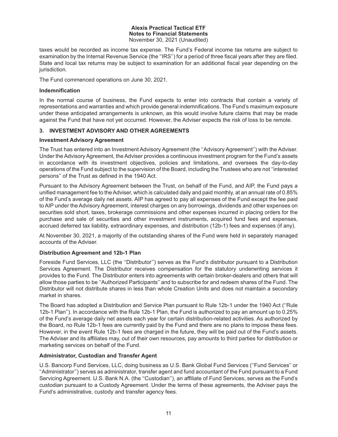taxes would be recorded as income tax expense. The Fund's Federal income tax returns are subject to examination by the Internal Revenue Service (the ''IRS'') for a period of three fiscal years after they are filed. State and local tax returns may be subject to examination for an additional fiscal year depending on the jurisdiction.

The Fund commenced operations on June 30, 2021.

#### **Indemnification**

In the normal course of business, the Fund expects to enter into contracts that contain a variety of representations and warranties and which provide general indemnifications. The Fund's maximum exposure under these anticipated arrangements is unknown, as this would involve future claims that may be made against the Fund that have not yet occurred. However, the Adviser expects the risk of loss to be remote.

## **3. INVESTMENT ADVISORY AND OTHER AGREEMENTS**

#### **Investment Advisory Agreement**

The Trust has entered into an Investment Advisory Agreement (the ''Advisory Agreement'') with the Adviser. Under the Advisory Agreement, the Adviser provides a continuous investment program for the Fund's assets in accordance with its investment objectives, policies and limitations, and oversees the day-to-day operations of the Fund subject to the supervision of the Board, including the Trustees who are not ''interested persons'' of the Trust as defined in the 1940 Act.

Pursuant to the Advisory Agreement between the Trust, on behalf of the Fund, and AIP, the Fund pays a unified management fee to the Adviser, which is calculated daily and paid monthly, at an annual rate of 0.85% of the Fund's average daily net assets. AIP has agreed to pay all expenses of the Fund except the fee paid to AIP under the Advisory Agreement, interest charges on any borrowings, dividends and other expenses on securities sold short, taxes, brokerage commissions and other expenses incurred in placing orders for the purchase and sale of securities and other investment instruments, acquired fund fees and expenses, accrued deferred tax liability, extraordinary expenses, and distribution (12b-1) fees and expenses (if any).

At November 30, 2021, a majority of the outstanding shares of the Fund were held in separately managed accounts of the Adviser.

#### **Distribution Agreement and 12b-1 Plan**

Foreside Fund Services, LLC (the ''Distributor'') serves as the Fund's distributor pursuant to a Distribution Services Agreement. The Distributor receives compensation for the statutory underwriting services it provides to the Fund. The Distributor enters into agreements with certain broker-dealers and others that will allow those parties to be ''Authorized Participants'' and to subscribe for and redeem shares of the Fund. The Distributor will not distribute shares in less than whole Creation Units and does not maintain a secondary market in shares.

The Board has adopted a Distribution and Service Plan pursuant to Rule 12b-1 under the 1940 Act (''Rule 12b-1 Plan''). In accordance with the Rule 12b-1 Plan, the Fund is authorized to pay an amount up to 0.25% of the Fund's average daily net assets each year for certain distribution-related activities. As authorized by the Board, no Rule 12b-1 fees are currently paid by the Fund and there are no plans to impose these fees. However, in the event Rule 12b-1 fees are charged in the future, they will be paid out of the Fund's assets. The Adviser and its affiliates may, out of their own resources, pay amounts to third parties for distribution or marketing services on behalf of the Fund.

#### **Administrator, Custodian and Transfer Agent**

U.S. Bancorp Fund Services, LLC, doing business as U.S. Bank Global Fund Services (''Fund Services'' or ''Administrator'') serves as administrator, transfer agent and fund accountant of the Fund pursuant to a Fund Servicing Agreement. U.S. Bank N.A. (the ''Custodian''), an affiliate of Fund Services, serves as the Fund's custodian pursuant to a Custody Agreement. Under the terms of these agreements, the Adviser pays the Fund's administrative, custody and transfer agency fees.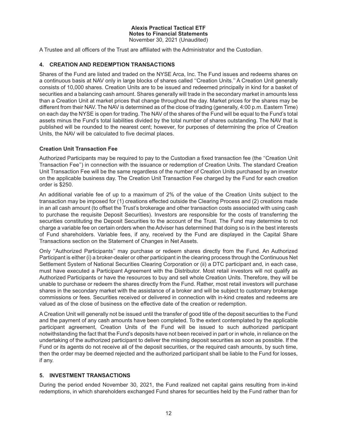A Trustee and all officers of the Trust are affiliated with the Administrator and the Custodian.

## **4. CREATION AND REDEMPTION TRANSACTIONS**

Shares of the Fund are listed and traded on the NYSE Arca, Inc. The Fund issues and redeems shares on a continuous basis at NAV only in large blocks of shares called ''Creation Units.'' A Creation Unit generally consists of 10,000 shares. Creation Units are to be issued and redeemed principally in kind for a basket of securities and a balancing cash amount. Shares generally will trade in the secondary market in amounts less than a Creation Unit at market prices that change throughout the day. Market prices for the shares may be different from their NAV. The NAV is determined as of the close of trading (generally, 4:00 p.m. Eastern Time) on each day the NYSE is open for trading. The NAV of the shares of the Fund will be equal to the Fund's total assets minus the Fund's total liabilities divided by the total number of shares outstanding. The NAV that is published will be rounded to the nearest cent; however, for purposes of determining the price of Creation Units, the NAV will be calculated to five decimal places.

## **Creation Unit Transaction Fee**

Authorized Participants may be required to pay to the Custodian a fixed transaction fee (the ''Creation Unit Transaction Fee'') in connection with the issuance or redemption of Creation Units. The standard Creation Unit Transaction Fee will be the same regardless of the number of Creation Units purchased by an investor on the applicable business day. The Creation Unit Transaction Fee charged by the Fund for each creation order is \$250.

An additional variable fee of up to a maximum of 2% of the value of the Creation Units subject to the transaction may be imposed for (1) creations effected outside the Clearing Process and (2) creations made in an all cash amount (to offset the Trust's brokerage and other transaction costs associated with using cash to purchase the requisite Deposit Securities). Investors are responsible for the costs of transferring the securities constituting the Deposit Securities to the account of the Trust. The Fund may determine to not charge a variable fee on certain orders when the Adviser has determined that doing so is in the best interests of Fund shareholders. Variable fees, if any, received by the Fund are displayed in the Capital Share Transactions section on the Statement of Changes in Net Assets.

Only ''Authorized Participants'' may purchase or redeem shares directly from the Fund. An Authorized Participant is either (i) a broker-dealer or other participant in the clearing process through the Continuous Net Settlement System of National Securities Clearing Corporation or (ii) a DTC participant and, in each case, must have executed a Participant Agreement with the Distributor. Most retail investors will not qualify as Authorized Participants or have the resources to buy and sell whole Creation Units. Therefore, they will be unable to purchase or redeem the shares directly from the Fund. Rather, most retail investors will purchase shares in the secondary market with the assistance of a broker and will be subject to customary brokerage commissions or fees. Securities received or delivered in connection with in-kind creates and redeems are valued as of the close of business on the effective date of the creation or redemption.

A Creation Unit will generally not be issued until the transfer of good title of the deposit securities to the Fund and the payment of any cash amounts have been completed. To the extent contemplated by the applicable participant agreement, Creation Units of the Fund will be issued to such authorized participant notwithstanding the fact that the Fund's deposits have not been received in part or in whole, in reliance on the undertaking of the authorized participant to deliver the missing deposit securities as soon as possible. If the Fund or its agents do not receive all of the deposit securities, or the required cash amounts, by such time, then the order may be deemed rejected and the authorized participant shall be liable to the Fund for losses, if any.

## **5. INVESTMENT TRANSACTIONS**

During the period ended November 30, 2021, the Fund realized net capital gains resulting from in-kind redemptions, in which shareholders exchanged Fund shares for securities held by the Fund rather than for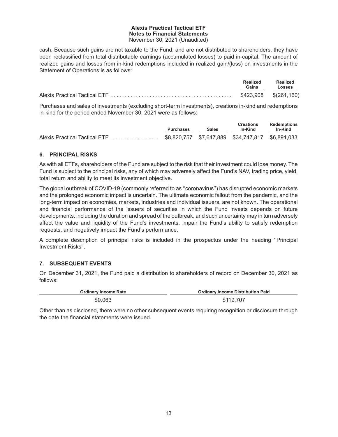cash. Because such gains are not taxable to the Fund, and are not distributed to shareholders, they have been reclassified from total distributable earnings (accumulated losses) to paid in-capital. The amount of realized gains and losses from in-kind redemptions included in realized gain/(loss) on investments in the Statement of Operations is as follows:

| <b>Realized</b><br>Gains | Realized<br>Losses |
|--------------------------|--------------------|
| \$423,908 \$(261,160)    |                    |

Purchases and sales of investments (excluding short-term investments), creations in-kind and redemptions in-kind for the period ended November 30, 2021 were as follows:

|                                                                                | <b>Purchases</b> | <b>Sales</b> | <b>Creations</b><br>In-Kind | Redemptions<br>In-Kind |
|--------------------------------------------------------------------------------|------------------|--------------|-----------------------------|------------------------|
| Alexis Practical Tactical ETF \$8,820,757 \$7,647,889 \$34,747,817 \$6,891,033 |                  |              |                             |                        |

## **6. PRINCIPAL RISKS**

As with all ETFs, shareholders of the Fund are subject to the risk that their investment could lose money. The Fund is subject to the principal risks, any of which may adversely affect the Fund's NAV, trading price, yield, total return and ability to meet its investment objective.

The global outbreak of COVID-19 (commonly referred to as ''coronavirus'') has disrupted economic markets and the prolonged economic impact is uncertain. The ultimate economic fallout from the pandemic, and the long-term impact on economies, markets, industries and individual issuers, are not known. The operational and financial performance of the issuers of securities in which the Fund invests depends on future developments, including the duration and spread of the outbreak, and such uncertainty may in turn adversely affect the value and liquidity of the Fund's investments, impair the Fund's ability to satisfy redemption requests, and negatively impact the Fund's performance.

A complete description of principal risks is included in the prospectus under the heading ''Principal Investment Risks''.

## **7. SUBSEQUENT EVENTS**

On December 31, 2021, the Fund paid a distribution to shareholders of record on December 30, 2021 as follows:

| <b>Ordinary Income Rate</b> | <b>Ordinary Income Distribution Paid</b> |
|-----------------------------|------------------------------------------|
| \$0.063                     | \$119,707                                |

Other than as disclosed, there were no other subsequent events requiring recognition or disclosure through the date the financial statements were issued.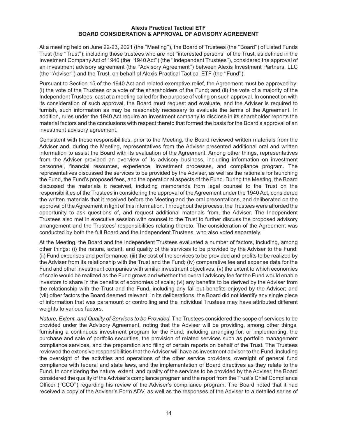#### **Alexis Practical Tactical ETF BOARD CONSIDERATION & APPROVAL OF ADVISORY AGREEMENT**

At a meeting held on June 22-23, 2021 (the ''Meeting''), the Board of Trustees (the ''Board'') of Listed Funds Trust (the ''Trust''), including those trustees who are not ''interested persons'' of the Trust, as defined in the Investment Company Act of 1940 (the ''1940 Act'') (the ''Independent Trustees''), considered the approval of an investment advisory agreement (the ''Advisory Agreement'') between Alexis Investment Partners, LLC (the ''Adviser'') and the Trust, on behalf of Alexis Practical Tactical ETF (the ''Fund'').

Pursuant to Section 15 of the 1940 Act and related exemptive relief, the Agreement must be approved by: (i) the vote of the Trustees or a vote of the shareholders of the Fund; and (ii) the vote of a majority of the Independent Trustees, cast at a meeting called for the purpose of voting on such approval. In connection with its consideration of such approval, the Board must request and evaluate, and the Adviser is required to furnish, such information as may be reasonably necessary to evaluate the terms of the Agreement. In addition, rules under the 1940 Act require an investment company to disclose in its shareholder reports the material factors and the conclusions with respect thereto that formed the basis for the Board's approval of an investment advisory agreement.

Consistent with those responsibilities, prior to the Meeting, the Board reviewed written materials from the Adviser and, during the Meeting, representatives from the Adviser presented additional oral and written information to assist the Board with its evaluation of the Agreement. Among other things, representatives from the Adviser provided an overview of its advisory business, including information on investment personnel, financial resources, experience, investment processes, and compliance program. The representatives discussed the services to be provided by the Adviser, as well as the rationale for launching the Fund, the Fund's proposed fees, and the operational aspects of the Fund. During the Meeting, the Board discussed the materials it received, including memoranda from legal counsel to the Trust on the responsibilities of the Trustees in considering the approval of the Agreement under the 1940 Act, considered the written materials that it received before the Meeting and the oral presentations, and deliberated on the approval of theAgreement in light of this information. Throughout the process, the Trustees were afforded the opportunity to ask questions of, and request additional materials from, the Adviser. The Independent Trustees also met in executive session with counsel to the Trust to further discuss the proposed advisory arrangement and the Trustees' responsibilities relating thereto. The consideration of the Agreement was conducted by both the full Board and the Independent Trustees, who also voted separately.

At the Meeting, the Board and the Independent Trustees evaluated a number of factors, including, among other things: (i) the nature, extent, and quality of the services to be provided by the Adviser to the Fund; (ii) Fund expenses and performance; (iii) the cost of the services to be provided and profits to be realized by the Adviser from its relationship with the Trust and the Fund; (iv) comparative fee and expense data for the Fund and other investment companies with similar investment objectives; (v) the extent to which economies of scale would be realized as the Fund grows and whether the overall advisory fee for the Fund would enable investors to share in the benefits of economies of scale; (vi) any benefits to be derived by the Adviser from the relationship with the Trust and the Fund, including any fall-out benefits enjoyed by the Adviser; and (vii) other factors the Board deemed relevant. In its deliberations, the Board did not identify any single piece of information that was paramount or controlling and the individual Trustees may have attributed different weights to various factors.

*Nature, Extent, and Quality of Services to be Provided.* The Trustees considered the scope of services to be provided under the Advisory Agreement, noting that the Adviser will be providing, among other things, furnishing a continuous investment program for the Fund, including arranging for, or implementing, the purchase and sale of portfolio securities, the provision of related services such as portfolio management compliance services, and the preparation and filing of certain reports on behalf of the Trust. The Trustees reviewed the extensive responsibilities that the Adviser will have as investment adviser to the Fund, including the oversight of the activities and operations of the other service providers, oversight of general fund compliance with federal and state laws, and the implementation of Board directives as they relate to the Fund. In considering the nature, extent, and quality of the services to be provided by the Adviser, the Board considered the quality of the Adviser's compliance program and the report from the Trust's Chief Compliance Officer ("CCO") regarding his review of the Adviser's compliance program. The Board noted that it had received a copy of the Adviser's Form ADV, as well as the responses of the Adviser to a detailed series of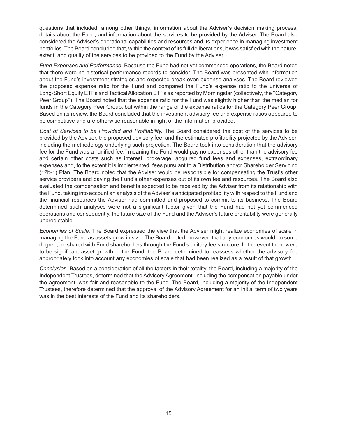questions that included, among other things, information about the Adviser's decision making process, details about the Fund, and information about the services to be provided by the Adviser. The Board also considered the Adviser's operational capabilities and resources and its experience in managing investment portfolios. The Board concluded that, within the context of its full deliberations, it was satisfied with the nature, extent, and quality of the services to be provided to the Fund by the Adviser.

*Fund Expenses and Performance.* Because the Fund had not yet commenced operations, the Board noted that there were no historical performance records to consider. The Board was presented with information about the Fund's investment strategies and expected break-even expense analyses. The Board reviewed the proposed expense ratio for the Fund and compared the Fund's expense ratio to the universe of Long-Short Equity ETFs and Tactical Allocation ETFs as reported by Morningstar (collectively, the ''Category Peer Group''). The Board noted that the expense ratio for the Fund was slightly higher than the median for funds in the Category Peer Group, but within the range of the expense ratios for the Category Peer Group. Based on its review, the Board concluded that the investment advisory fee and expense ratios appeared to be competitive and are otherwise reasonable in light of the information provided.

*Cost of Services to be Provided and Profitability.* The Board considered the cost of the services to be provided by the Adviser, the proposed advisory fee, and the estimated profitability projected by the Adviser, including the methodology underlying such projection. The Board took into consideration that the advisory fee for the Fund was a ''unified fee,'' meaning the Fund would pay no expenses other than the advisory fee and certain other costs such as interest, brokerage, acquired fund fees and expenses, extraordinary expenses and, to the extent it is implemented, fees pursuant to a Distribution and/or Shareholder Servicing (12b-1) Plan. The Board noted that the Adviser would be responsible for compensating the Trust's other service providers and paying the Fund's other expenses out of its own fee and resources. The Board also evaluated the compensation and benefits expected to be received by the Adviser from its relationship with the Fund, taking into account an analysis of the Adviser's anticipated profitability with respect to the Fund and the financial resources the Adviser had committed and proposed to commit to its business. The Board determined such analyses were not a significant factor given that the Fund had not yet commenced operations and consequently, the future size of the Fund and the Adviser's future profitability were generally unpredictable.

*Economies of Scale.* The Board expressed the view that the Adviser might realize economies of scale in managing the Fund as assets grow in size. The Board noted, however, that any economies would, to some degree, be shared with Fund shareholders through the Fund's unitary fee structure. In the event there were to be significant asset growth in the Fund, the Board determined to reassess whether the advisory fee appropriately took into account any economies of scale that had been realized as a result of that growth.

*Conclusion.* Based on a consideration of all the factors in their totality, the Board, including a majority of the Independent Trustees, determined that the Advisory Agreement, including the compensation payable under the agreement, was fair and reasonable to the Fund. The Board, including a majority of the Independent Trustees, therefore determined that the approval of the Advisory Agreement for an initial term of two years was in the best interests of the Fund and its shareholders.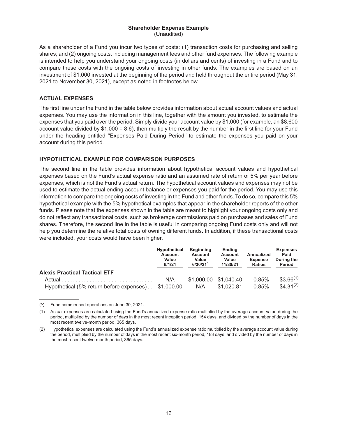#### **Shareholder Expense Example** (Unaudited)

As a shareholder of a Fund you incur two types of costs: (1) transaction costs for purchasing and selling shares; and (2) ongoing costs, including management fees and other fund expenses. The following example is intended to help you understand your ongoing costs (in dollars and cents) of investing in a Fund and to compare these costs with the ongoing costs of investing in other funds. The examples are based on an investment of \$1,000 invested at the beginning of the period and held throughout the entire period (May 31, 2021 to November 30, 2021), except as noted in footnotes below.

## **ACTUAL EXPENSES**

The first line under the Fund in the table below provides information about actual account values and actual expenses. You may use the information in this line, together with the amount you invested, to estimate the expenses that you paid over the period. Simply divide your account value by \$1,000 (for example, an \$8,600 account value divided by  $$1,000 = 8.6$ ), then multiply the result by the number in the first line for your Fund under the heading entitled ''Expenses Paid During Period'' to estimate the expenses you paid on your account during this period.

## **HYPOTHETICAL EXAMPLE FOR COMPARISON PURPOSES**

The second line in the table provides information about hypothetical account values and hypothetical expenses based on the Fund's actual expense ratio and an assumed rate of return of 5% per year before expenses, which is not the Fund's actual return. The hypothetical account values and expenses may not be used to estimate the actual ending account balance or expenses you paid for the period. You may use this information to compare the ongoing costs of investing in the Fund and other funds. To do so, compare this 5% hypothetical example with the 5% hypothetical examples that appear in the shareholder reports of the other funds. Please note that the expenses shown in the table are meant to highlight your ongoing costs only and do not reflect any transactional costs, such as brokerage commissions paid on purchases and sales of Fund shares. Therefore, the second line in the table is useful in comparing ongoing Fund costs only and will not help you determine the relative total costs of owning different funds. In addition, if these transactional costs were included, your costs would have been higher.

|                                                      | <b>Hypothetical</b><br>Account<br>Value<br>6/1/21 | <b>Beginning</b><br><b>Account</b><br>Value<br>6/30/21 | <b>Ending</b><br>Account<br>Value<br>11/30/21 | Annualized<br><b>Expense</b><br><b>Ratios</b> | <b>Expenses</b><br>Paid<br>During the<br>Period |
|------------------------------------------------------|---------------------------------------------------|--------------------------------------------------------|-----------------------------------------------|-----------------------------------------------|-------------------------------------------------|
| <b>Alexis Practical Tactical ETF</b>                 |                                                   |                                                        |                                               |                                               |                                                 |
| Hypothetical (5% return before expenses). \$1,000.00 | N/A                                               | N/A                                                    | \$1,000.00 \$1,040.40<br>\$1,020.81           | 0.85%<br>0.85%                                | $$3.66^{(1)}$<br>$$4.31^{(2)}$                  |

<sup>(^)</sup> Fund commenced operations on June 30, 2021.

<sup>(1)</sup> Actual expenses are calculated using the Fund's annualized expense ratio multiplied by the average account value during the period, multiplied by the number of days in the most recent inception period, 154 days, and divided by the number of days in the most recent twelve-month period, 365 days.

<sup>(2)</sup> Hypothetical expenses are calculated using the Fund's annualized expense ratio multiplied by the average account value during the period, multiplied by the number of days in the most recent six-month period, 183 days, and divided by the number of days in the most recent twelve-month period, 365 days.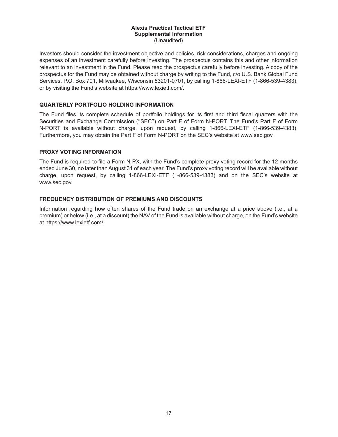#### **Alexis Practical Tactical ETF Supplemental Information** (Unaudited)

Investors should consider the investment objective and policies, risk considerations, charges and ongoing expenses of an investment carefully before investing. The prospectus contains this and other information relevant to an investment in the Fund. Please read the prospectus carefully before investing. A copy of the prospectus for the Fund may be obtained without charge by writing to the Fund, c/o U.S. Bank Global Fund Services, P.O. Box 701, Milwaukee, Wisconsin 53201-0701, by calling 1-866-LEXI-ETF (1-866-539-4383), or by visiting the Fund's website at https://www.lexietf.com/.

### **QUARTERLY PORTFOLIO HOLDING INFORMATION**

The Fund files its complete schedule of portfolio holdings for its first and third fiscal quarters with the Securities and Exchange Commission ("SEC") on Part F of Form N-PORT. The Fund's Part F of Form N-PORT is available without charge, upon request, by calling 1-866-LEXI-ETF (1-866-539-4383). Furthermore, you may obtain the Part F of Form N-PORT on the SEC's website at www.sec.gov.

### **PROXY VOTING INFORMATION**

The Fund is required to file a Form N-PX, with the Fund's complete proxy voting record for the 12 months ended June 30, no later than August 31 of each year. The Fund's proxy voting record will be available without charge, upon request, by calling 1-866-LEXI-ETF (1-866-539-4383) and on the SEC's website at www.sec.gov.

### **FREQUENCY DISTRIBUTION OF PREMIUMS AND DISCOUNTS**

Information regarding how often shares of the Fund trade on an exchange at a price above (i.e., at a premium) or below (i.e., at a discount) the NAV of the Fund is available without charge, on the Fund's website at https://www.lexietf.com/.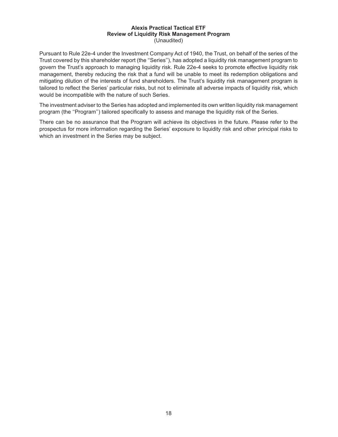#### **Alexis Practical Tactical ETF Review of Liquidity Risk Management Program** (Unaudited)

Pursuant to Rule 22e-4 under the Investment Company Act of 1940, the Trust, on behalf of the series of the Trust covered by this shareholder report (the ''Series''), has adopted a liquidity risk management program to govern the Trust's approach to managing liquidity risk. Rule 22e-4 seeks to promote effective liquidity risk management, thereby reducing the risk that a fund will be unable to meet its redemption obligations and mitigating dilution of the interests of fund shareholders. The Trust's liquidity risk management program is tailored to reflect the Series' particular risks, but not to eliminate all adverse impacts of liquidity risk, which would be incompatible with the nature of such Series.

The investment adviser to the Series has adopted and implemented its own written liquidity risk management program (the ''Program'') tailored specifically to assess and manage the liquidity risk of the Series.

There can be no assurance that the Program will achieve its objectives in the future. Please refer to the prospectus for more information regarding the Series' exposure to liquidity risk and other principal risks to which an investment in the Series may be subject.